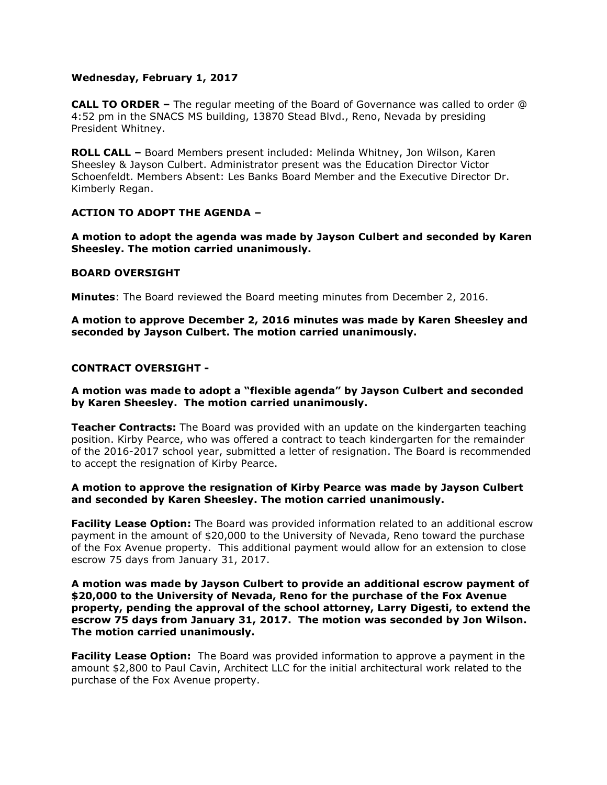# **Wednesday, February 1, 2017**

**CALL TO ORDER –** The regular meeting of the Board of Governance was called to order @ 4:52 pm in the SNACS MS building, 13870 Stead Blvd., Reno, Nevada by presiding President Whitney.

**ROLL CALL –** Board Members present included: Melinda Whitney, Jon Wilson, Karen Sheesley & Jayson Culbert. Administrator present was the Education Director Victor Schoenfeldt. Members Absent: Les Banks Board Member and the Executive Director Dr. Kimberly Regan.

### **ACTION TO ADOPT THE AGENDA –**

**A motion to adopt the agenda was made by Jayson Culbert and seconded by Karen Sheesley. The motion carried unanimously.** 

### **BOARD OVERSIGHT**

**Minutes**: The Board reviewed the Board meeting minutes from December 2, 2016.

**A motion to approve December 2, 2016 minutes was made by Karen Sheesley and seconded by Jayson Culbert. The motion carried unanimously.**

### **CONTRACT OVERSIGHT -**

### **A motion was made to adopt a "flexible agenda" by Jayson Culbert and seconded by Karen Sheesley. The motion carried unanimously.**

**Teacher Contracts:** The Board was provided with an update on the kindergarten teaching position. Kirby Pearce, who was offered a contract to teach kindergarten for the remainder of the 2016-2017 school year, submitted a letter of resignation. The Board is recommended to accept the resignation of Kirby Pearce.

# **A motion to approve the resignation of Kirby Pearce was made by Jayson Culbert and seconded by Karen Sheesley. The motion carried unanimously.**

**Facility Lease Option:** The Board was provided information related to an additional escrow payment in the amount of \$20,000 to the University of Nevada, Reno toward the purchase of the Fox Avenue property. This additional payment would allow for an extension to close escrow 75 days from January 31, 2017.

### **A motion was made by Jayson Culbert to provide an additional escrow payment of \$20,000 to the University of Nevada, Reno for the purchase of the Fox Avenue property, pending the approval of the school attorney, Larry Digesti, to extend the escrow 75 days from January 31, 2017. The motion was seconded by Jon Wilson. The motion carried unanimously.**

**Facility Lease Option:** The Board was provided information to approve a payment in the amount \$2,800 to Paul Cavin, Architect LLC for the initial architectural work related to the purchase of the Fox Avenue property.